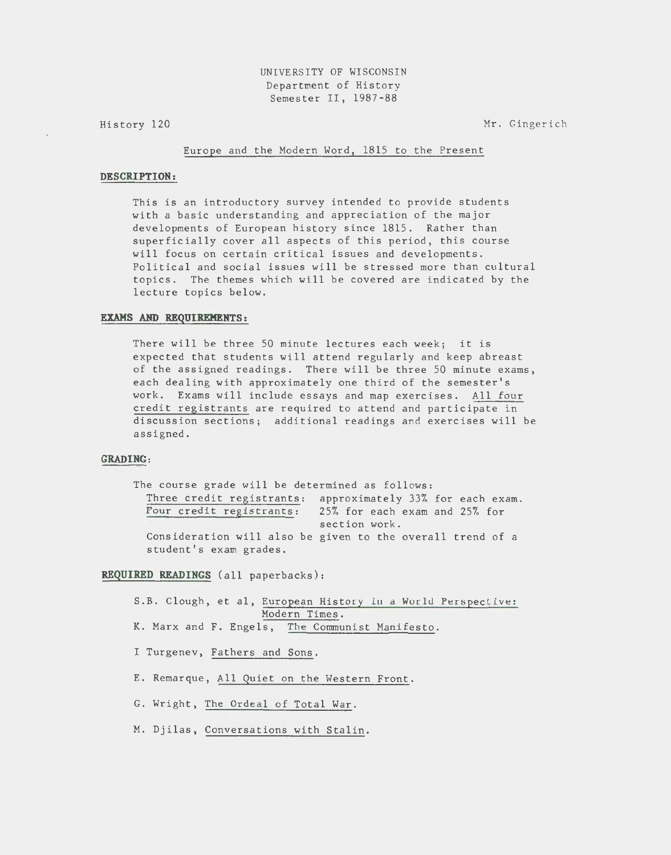UNIVERSITY OF WISCONSIN Department of History Semester II, 1987-88

History 120

Mr. Gingerich

#### Europe and the Modern Word, 1815 to the Present

# **DESCRIPTION:**

This is an introductory survey intended to provide students with a basic understanding and appreciation of the major developments of European history since 1815. Rather than superficially cover all aspects of this period, this course will focus on certain critical issues and developments. Political and social issues will be stressed more than cultural topics. The themes which will be covered are indicated by the lecture topics below.

## **EXAMS AND REQUIREMENTS:**

There will be three 50 minute lectures each week; it is expected that students will attend regularly and keep abreast of the assigned readings. There will be three 50 minute exams, each dealing with approximately one third of the semester's work. Exams will include essays and map exercises. All four credit registrants are required to attend and participate in discussion sections; additional readings and exercises will be assigned.

# **GRADING:**

The course grade will be determined as follows: Three credit registrants: approximately 33% for each exam. Four credit registrants: 25% for each exam and 25% for section work. Consideration will also be given to the overall trend of <sup>a</sup> student's exam grades.

## **REQUIRED READINGS** (all paperbacks):

S.B. Clough, et al, European History in a World Perspective: Modern Times. K. Marx and F. Engels, The Communist Manifesto.

- I Turgenev, Fathers and Sons.
- E. Remarque, All Quiet on the Western Front.
- G. Wright, The Ordeal of Total War.
- M. Djilas, Conversations with Stalin.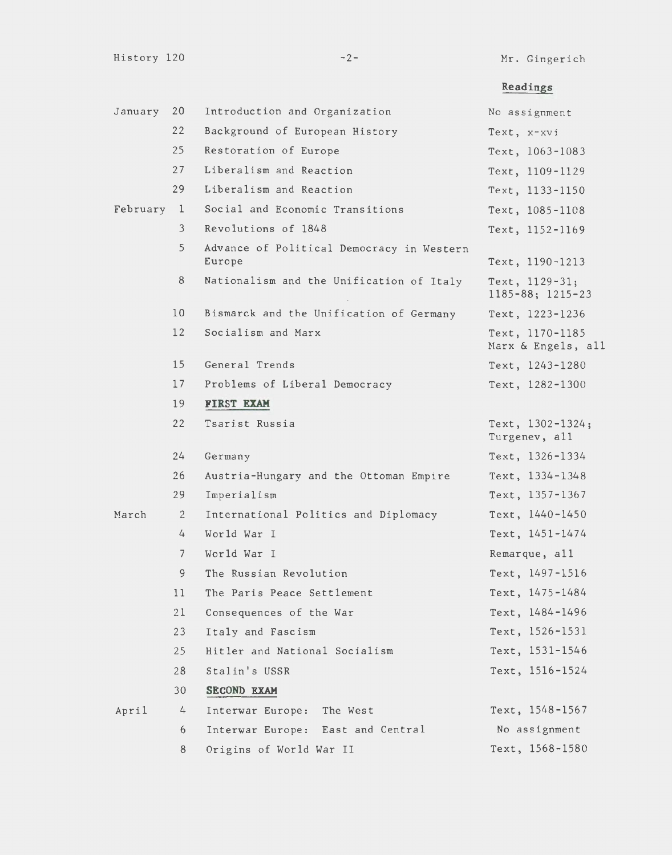Mr. Gingerich

# **Readings**

| January  | 20              | Introduction and Organization                       | No assignment                               |
|----------|-----------------|-----------------------------------------------------|---------------------------------------------|
|          | 22              | Background of European History                      | Text, x-xvi                                 |
|          | 25              | Restoration of Europe                               | Text, 1063-1083                             |
|          | 27              | Liberalism and Reaction                             | Text, 1109-1129                             |
|          | 29              | Liberalism and Reaction                             | Text, 1133-1150                             |
| February | $\mathbf{1}$    | Social and Economic Transitions                     | Text, 1085-1108                             |
|          | 3               | Revolutions of 1848                                 | Text, $1152 - 1169$                         |
|          | 5               | Advance of Political Democracy in Western<br>Europe | Text, 1190-1213                             |
|          | 8               | Nationalism and the Unification of Italy            | Text, 1129-31;<br>$1185 - 88$ ; $1215 - 23$ |
|          | 10 <sup>°</sup> | Bismarck and the Unification of Germany             | Text, 1223-1236                             |
|          | 12              | Socialism and Marx                                  | Text, 1170-1185<br>Marx & Engels, all       |
|          | 15              | General Trends                                      | Text, 1243-1280                             |
|          | 17              | Problems of Liberal Democracy                       | Text, 1282-1300                             |
|          | 19              | FIRST EXAM                                          |                                             |
|          | 22              | Tsarist Russia                                      | Text, $1302 - 1324$ ;<br>Turgenev, all      |
|          | 24              | Germany                                             | Text, 1326-1334                             |
|          | 26              | Austria-Hungary and the Ottoman Empire              | Text, 1334-1348                             |
|          | 29              | Imperialism                                         | Text, 1357-1367                             |
| March    | $\mathbf{2}$    | International Politics and Diplomacy                | Text, 1440-1450                             |
|          | 4               | World War I                                         | Text, 1451-1474                             |
|          | $\overline{7}$  | World War I                                         | Remarque, all                               |
|          | 9               | The Russian Revolution                              | Text, 1497-1516                             |
|          | 11              | The Paris Peace Settlement                          | Text, 1475-1484                             |
|          | 21              | Consequences of the War                             | Text, 1484-1496                             |
|          | 23              | Italy and Fascism                                   | Text, 1526-1531                             |
|          | 25              | Hitler and National Socialism                       | Text, 1531-1546                             |
|          | 28              | Stalin's USSR                                       | Text, 1516-1524                             |
|          | 30              | SECOND EXAM                                         |                                             |
| April    | 4               | Interwar Europe: The West                           | Text, $1548 - 1567$                         |
|          | 6               | Interwar Europe: East and Central                   | No assignment                               |
|          | 8               | Origins of World War II                             | Text, 1568-1580                             |